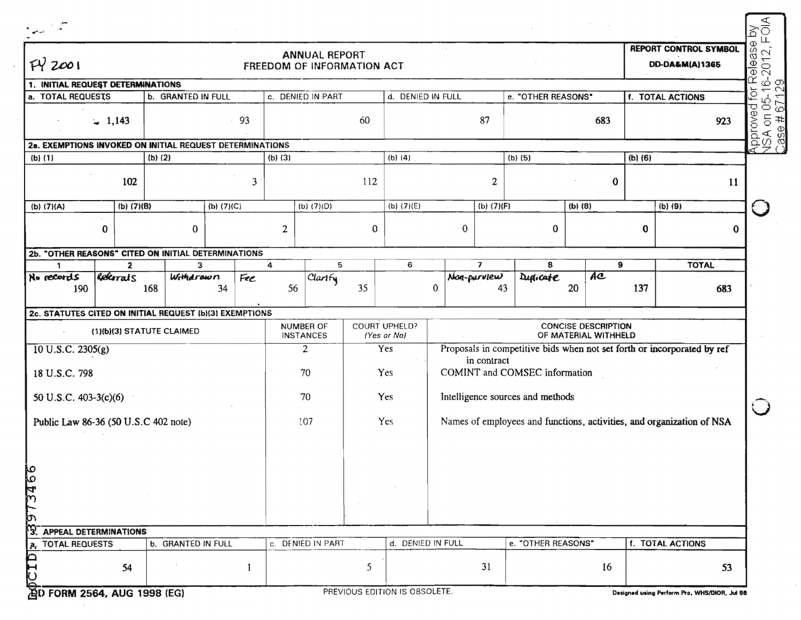| FY2001                                                  | <b>ANNUAL REPORT</b><br>FREEDOM OF INFORMATION ACT |              |                                                          |            |                  |                               |              |                                     |              |                          | <b>REPORT CONTROL SYMBOL</b><br>DD-DA&M(A)1365 |                                                    |                  |                                                                         |  |
|---------------------------------------------------------|----------------------------------------------------|--------------|----------------------------------------------------------|------------|------------------|-------------------------------|--------------|-------------------------------------|--------------|--------------------------|------------------------------------------------|----------------------------------------------------|------------------|-------------------------------------------------------------------------|--|
| 1. INITIAL REQUEST DETERMINATIONS                       |                                                    |              |                                                          |            |                  |                               |              |                                     |              |                          |                                                |                                                    |                  |                                                                         |  |
| a. TOTAL REQUESTS                                       |                                                    |              | <b>b. GRANTED IN FULL</b>                                |            |                  | c. DENIED IN PART             |              | d. DENIED IN FULL                   |              |                          | e. "OTHER REASONS"                             |                                                    | f. TOTAL ACTIONS |                                                                         |  |
|                                                         | $-1,143$                                           |              |                                                          | 93         |                  |                               | 60           |                                     |              | 87                       |                                                | 683                                                |                  | 923                                                                     |  |
|                                                         |                                                    |              | 2a. EXEMPTIONS INVOKED ON INITIAL REQUEST DETERMINATIONS |            |                  |                               |              |                                     |              |                          |                                                |                                                    |                  |                                                                         |  |
| $(b)$ (1)                                               |                                                    |              | (b) (2)                                                  |            | (b) (3)          |                               |              | (b) (4)                             |              |                          | $(b)$ (5)                                      |                                                    | $(b)$ (6)        |                                                                         |  |
|                                                         |                                                    | 102          |                                                          |            | 3                |                               | 112          |                                     |              | 2                        |                                                | $\bf{0}$                                           |                  | 11                                                                      |  |
| (b) (7)(A)                                              |                                                    | $(b)$ (7)(B) |                                                          | (b) (7)(C) |                  | (b) (7)(D)                    |              | (b) (7)(E)                          |              | (b) (7)(F)               |                                                | $(b)$ (8)                                          |                  | (b) (9)                                                                 |  |
|                                                         | $\bf{0}$                                           |              | $\bf{0}$                                                 |            | $\boldsymbol{2}$ |                               | $\mathbf{0}$ |                                     | $\bf{0}$     |                          | $\bf{0}$                                       |                                                    | 0                | 0                                                                       |  |
|                                                         |                                                    |              | 2b. "OTHER REASONS" CITED ON INITIAL DETERMINATIONS      |            |                  |                               |              |                                     |              |                          |                                                |                                                    |                  |                                                                         |  |
| $\mathbf{1}$                                            |                                                    | $\mathbf{2}$ | 3                                                        |            | 4                |                               | 5            | 6                                   |              | $\overline{\phantom{a}}$ | 8                                              | 9                                                  |                  | <b>TOTAL</b>                                                            |  |
| No records<br>190                                       |                                                    | Referrals    | Withdrawn<br>168                                         | Fee<br>34  |                  | Clarify<br>56                 | 35           |                                     | $\mathbf{0}$ | Non-purview<br>43        | Dupicate                                       | AC<br>20                                           | 137              | 683                                                                     |  |
| 2c. STATUTES CITED ON INITIAL REQUEST (b)(3) EXEMPTIONS |                                                    |              |                                                          |            |                  |                               |              |                                     |              |                          |                                                |                                                    |                  |                                                                         |  |
| (1)(b)(3) STATUTE CLAIMED                               |                                                    |              |                                                          |            |                  |                               |              |                                     |              |                          |                                                |                                                    |                  |                                                                         |  |
|                                                         |                                                    |              |                                                          |            |                  | NUMBER OF<br><b>INSTANCES</b> |              | <b>COURT UPHELD?</b><br>(Yes or No) |              |                          |                                                | <b>CONCISE DESCRIPTION</b><br>OF MATERIAL WITHHELD |                  |                                                                         |  |
| $10$ U.S.C. 2305(g)                                     |                                                    |              |                                                          |            |                  | $\overline{c}$                |              | Yes                                 |              |                          |                                                |                                                    |                  | Proposals in competitive bids when not set forth or incorporated by ref |  |
| 18 U.S.C. 798                                           |                                                    |              |                                                          |            |                  | 70                            |              | Yes                                 |              | in contract              | COMINT and COMSEC information                  |                                                    |                  |                                                                         |  |
| 50 U.S.C. 403-3(c)(6)                                   |                                                    |              |                                                          |            |                  | 70                            |              | Yes                                 |              |                          | Intelligence sources and methods               |                                                    |                  |                                                                         |  |
| Public Law 86-36 (50 U.S.C 402 note)                    |                                                    |              |                                                          |            |                  | 107                           |              | Yes                                 |              |                          |                                                |                                                    |                  | Names of employees and functions, activities, and organization of NSA   |  |
| ю<br>۱o                                                 |                                                    |              |                                                          |            |                  |                               |              |                                     |              |                          |                                                |                                                    |                  |                                                                         |  |
|                                                         |                                                    |              |                                                          |            |                  |                               |              |                                     |              |                          |                                                |                                                    |                  |                                                                         |  |
| <b>APPEAL DETERMINATIONS</b>                            |                                                    |              |                                                          |            |                  |                               |              |                                     |              |                          |                                                |                                                    |                  |                                                                         |  |
| <b>TOTAL REQUESTS</b>                                   |                                                    |              | <b>b. GRANTED IN FULL</b>                                |            |                  | c. DENIED IN PART             |              | d. DENIED IN FULL                   |              |                          | e. "OTHER REASONS"                             |                                                    |                  | f. TOTAL ACTIONS                                                        |  |

 $\sim 100$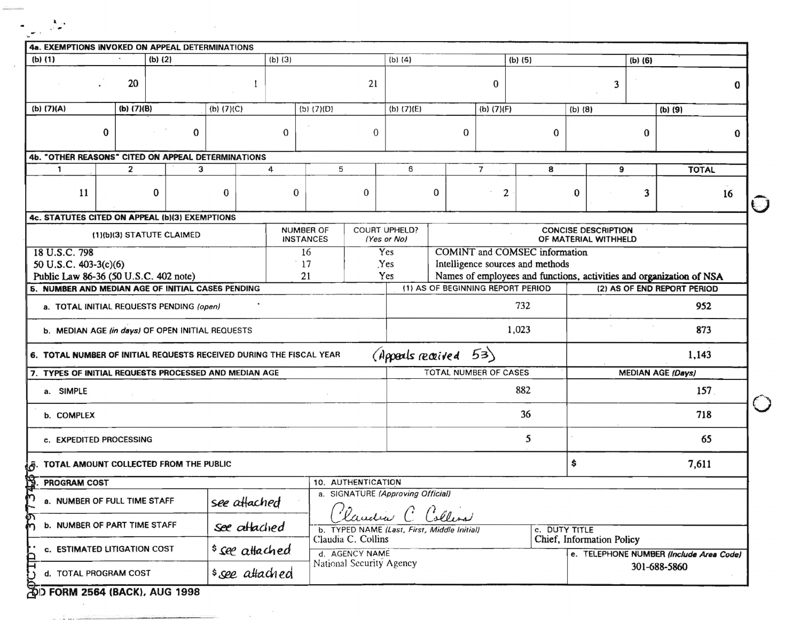| 4a. EXEMPTIONS INVOKED ON APPEAL DETERMINATIONS                                                  |                           |          |              |                 |  |                 |                                      |                                         |                                             |         |              |                              |             |               |                                                                                                     |                                                    |     |                                         |    |
|--------------------------------------------------------------------------------------------------|---------------------------|----------|--------------|-----------------|--|-----------------|--------------------------------------|-----------------------------------------|---------------------------------------------|---------|--------------|------------------------------|-------------|---------------|-----------------------------------------------------------------------------------------------------|----------------------------------------------------|-----|-----------------------------------------|----|
| $(b)$ $(1)$<br>$(b)$ (2)<br>(b) (3)                                                              |                           |          |              |                 |  | $(b)$ (4)       |                                      |                                         |                                             | (b) (5) |              |                              | $(b)$ $(6)$ |               |                                                                                                     |                                                    |     |                                         |    |
|                                                                                                  | 20                        |          |              |                 |  |                 |                                      | 21                                      |                                             |         |              | $\mathbf{0}$                 |             |               |                                                                                                     | 3                                                  |     |                                         | 0  |
| (b) (7)(A)                                                                                       | (b) $(7)(B)$              |          |              | (b) (7)(C)      |  |                 | (b) (7)(D)                           |                                         | (b) (7)(E)                                  |         |              | (b) (7)(F)                   |             |               | $(b)$ $(8)$                                                                                         |                                                    |     | $(b)$ $(9)$                             |    |
| $\bf{0}$                                                                                         |                           |          | $\mathbf{0}$ |                 |  | $\Omega$        |                                      | $\mathbf{0}$                            |                                             |         | $\mathbf{0}$ |                              |             | $\Omega$      |                                                                                                     |                                                    | 0   |                                         | 0  |
| 4b. "OTHER REASONS" CITED ON APPEAL DETERMINATIONS                                               |                           |          |              |                 |  |                 |                                      |                                         |                                             |         |              |                              |             |               |                                                                                                     |                                                    |     |                                         |    |
| $\mathbf{1}$                                                                                     | $\overline{2}$            |          | 3            |                 |  | 4               |                                      | 5                                       | 6                                           |         |              | $\overline{7}$               |             | 8             |                                                                                                     | 9                                                  |     | <b>TOTAL</b>                            |    |
| 11                                                                                               |                           | $\bf{0}$ |              | $\Omega$        |  | $\bf{0}$        |                                      | $\Omega$                                |                                             | 0       |              | 2                            |             |               | 0                                                                                                   |                                                    | 3   |                                         | 16 |
| 4c. STATUTES CITED ON APPEAL (b)(3) EXEMPTIONS                                                   |                           |          |              |                 |  |                 |                                      |                                         |                                             |         |              |                              |             |               |                                                                                                     |                                                    |     |                                         |    |
|                                                                                                  | (1)(b)(3) STATUTE CLAIMED |          |              |                 |  |                 | <b>NUMBER OF</b><br><b>INSTANCES</b> |                                         | COURT UPHELD?<br>(Yes or No)                |         |              |                              |             |               |                                                                                                     | <b>CONCISE DESCRIPTION</b><br>OF MATERIAL WITHHELD |     |                                         |    |
| 18 U.S.C. 798                                                                                    |                           |          |              |                 |  |                 | 16                                   |                                         | Yes<br>COMINT and COMSEC information        |         |              |                              |             |               |                                                                                                     |                                                    |     |                                         |    |
| 50 U.S.C. 403-3(c)(6)                                                                            |                           |          |              |                 |  |                 | 17                                   | Yes<br>Intelligence sources and methods |                                             |         |              |                              |             |               |                                                                                                     |                                                    |     |                                         |    |
| 21<br>Public Law 86-36 (50 U.S.C. 402 note)<br>5. NUMBER AND MEDIAN AGE OF INITIAL CASES PENDING |                           |          |              |                 |  |                 |                                      |                                         | Yes<br>(1) AS OF BEGINNING REPORT PERIOD    |         |              |                              |             |               | Names of employees and functions, activities and organization of NSA<br>(2) AS OF END REPORT PERIOD |                                                    |     |                                         |    |
|                                                                                                  |                           |          |              |                 |  |                 |                                      |                                         |                                             |         |              |                              | 732         |               |                                                                                                     |                                                    |     |                                         |    |
| a. TOTAL INITIAL REQUESTS PENDING (open)                                                         |                           |          |              |                 |  |                 |                                      |                                         |                                             |         |              |                              |             |               |                                                                                                     |                                                    |     | 952                                     |    |
| b. MEDIAN AGE (in days) OF OPEN INITIAL REQUESTS                                                 |                           |          |              |                 |  |                 |                                      |                                         |                                             |         |              |                              | 1,023       |               |                                                                                                     |                                                    |     | 873                                     |    |
| 6. TOTAL NUMBER OF INITIAL REQUESTS RECEIVED DURING THE FISCAL YEAR                              |                           |          |              |                 |  |                 |                                      |                                         | (Appeals received 53)                       |         |              |                              |             |               |                                                                                                     |                                                    |     | 1,143                                   |    |
| 7. TYPES OF INITIAL REQUESTS PROCESSED AND MEDIAN AGE                                            |                           |          |              |                 |  |                 |                                      |                                         |                                             |         |              | <b>TOTAL NUMBER OF CASES</b> |             |               |                                                                                                     |                                                    |     | <b>MEDIAN AGE (Days)</b>                |    |
| a. SIMPLE                                                                                        |                           |          |              |                 |  |                 |                                      | 882                                     |                                             |         |              |                              |             |               |                                                                                                     |                                                    | 157 |                                         |    |
| <b>b. COMPLEX</b>                                                                                |                           |          |              |                 |  |                 |                                      |                                         | 36                                          |         |              |                              |             |               |                                                                                                     |                                                    | 718 |                                         |    |
| c. EXPEDITED PROCESSING                                                                          |                           |          |              |                 |  |                 |                                      |                                         | 5                                           |         |              |                              |             |               |                                                                                                     |                                                    | 65  |                                         |    |
| TOTAL AMOUNT COLLECTED FROM THE PUBLIC                                                           |                           |          |              |                 |  |                 |                                      |                                         |                                             |         |              |                              |             |               | \$                                                                                                  |                                                    |     | 7,611                                   |    |
| PROGRAM COST                                                                                     |                           |          |              |                 |  |                 |                                      | 10. AUTHENTICATION                      |                                             |         |              |                              |             |               |                                                                                                     |                                                    |     |                                         |    |
| a. SIGNATURE (Approving Official)<br>a. NUMBER OF FULL TIME STAFF<br>see attached                |                           |          |              |                 |  |                 | landra C Collins                     |                                         |                                             |         |              |                              |             |               |                                                                                                     |                                                    |     |                                         |    |
| <b>b. NUMBER OF PART TIME STAFF</b>                                                              |                           |          |              | see attached    |  |                 |                                      | Claudia C. Collins                      | b. TYPED NAME (Last, First, Middle Initial) |         |              |                              |             | c. DUTY TITLE |                                                                                                     | Chief, Information Policy                          |     |                                         |    |
| c. ESTIMATED LITIGATION COST                                                                     |                           |          |              |                 |  | \$ see attached |                                      | d. AGENCY NAME                          |                                             |         |              |                              |             |               |                                                                                                     |                                                    |     | e. TELEPHONE NUMBER (Include Area Code) |    |
| d. TOTAL PROGRAM COST                                                                            |                           |          |              | \$ see attached |  |                 |                                      | National Security Agency                |                                             |         |              |                              |             |               |                                                                                                     |                                                    |     | 301-688-5860                            |    |

 $\sim 10^{-11}$